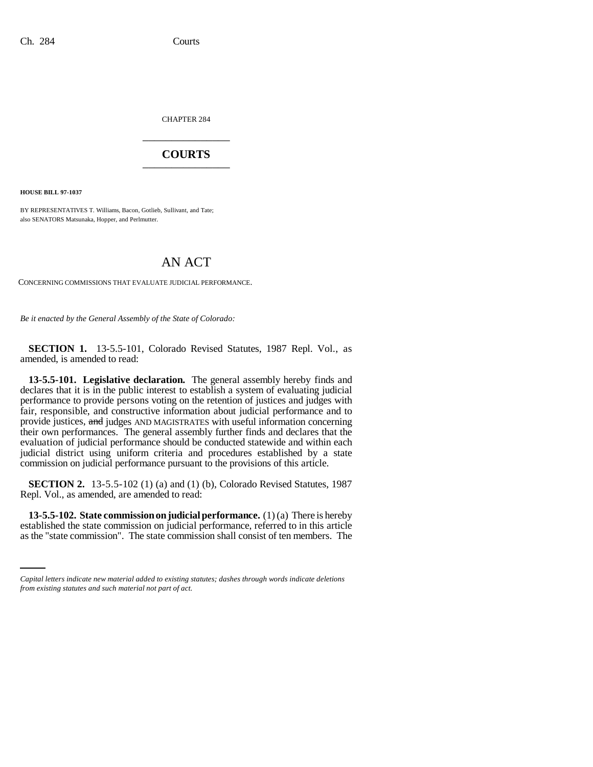CHAPTER 284 \_\_\_\_\_\_\_\_\_\_\_\_\_\_\_

## **COURTS** \_\_\_\_\_\_\_\_\_\_\_\_\_\_\_

**HOUSE BILL 97-1037**

BY REPRESENTATIVES T. Williams, Bacon, Gotlieb, Sullivant, and Tate; also SENATORS Matsunaka, Hopper, and Perlmutter.

# AN ACT

CONCERNING COMMISSIONS THAT EVALUATE JUDICIAL PERFORMANCE.

*Be it enacted by the General Assembly of the State of Colorado:*

**SECTION 1.** 13-5.5-101, Colorado Revised Statutes, 1987 Repl. Vol., as amended, is amended to read:

**13-5.5-101. Legislative declaration.** The general assembly hereby finds and declares that it is in the public interest to establish a system of evaluating judicial performance to provide persons voting on the retention of justices and judges with fair, responsible, and constructive information about judicial performance and to provide justices, and judges AND MAGISTRATES with useful information concerning their own performances. The general assembly further finds and declares that the evaluation of judicial performance should be conducted statewide and within each judicial district using uniform criteria and procedures established by a state commission on judicial performance pursuant to the provisions of this article.

**SECTION 2.** 13-5.5-102 (1) (a) and (1) (b), Colorado Revised Statutes, 1987 Repl. Vol., as amended, are amended to read:

 **13-5.5-102. State commission on judicial performance.** (1) (a) There is hereby established the state commission on judicial performance, referred to in this article as the "state commission". The state commission shall consist of ten members. The

*Capital letters indicate new material added to existing statutes; dashes through words indicate deletions from existing statutes and such material not part of act.*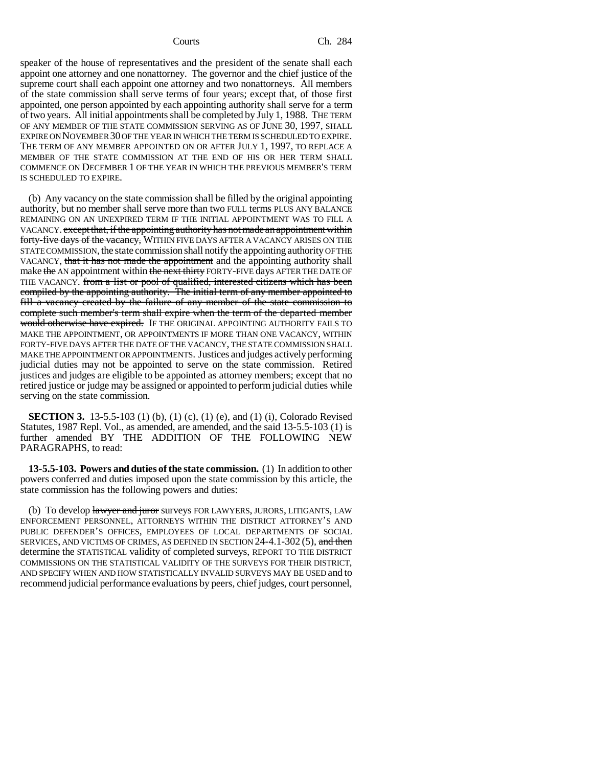speaker of the house of representatives and the president of the senate shall each appoint one attorney and one nonattorney. The governor and the chief justice of the supreme court shall each appoint one attorney and two nonattorneys. All members of the state commission shall serve terms of four years; except that, of those first appointed, one person appointed by each appointing authority shall serve for a term of two years. All initial appointments shall be completed by July 1, 1988. THE TERM OF ANY MEMBER OF THE STATE COMMISSION SERVING AS OF JUNE 30, 1997, SHALL EXPIRE ON NOVEMBER 30 OF THE YEAR IN WHICH THE TERM IS SCHEDULED TO EXPIRE. THE TERM OF ANY MEMBER APPOINTED ON OR AFTER JULY 1, 1997, TO REPLACE A MEMBER OF THE STATE COMMISSION AT THE END OF HIS OR HER TERM SHALL COMMENCE ON DECEMBER 1 OF THE YEAR IN WHICH THE PREVIOUS MEMBER'S TERM IS SCHEDULED TO EXPIRE.

(b) Any vacancy on the state commission shall be filled by the original appointing authority, but no member shall serve more than two FULL terms PLUS ANY BALANCE REMAINING ON AN UNEXPIRED TERM IF THE INITIAL APPOINTMENT WAS TO FILL A VACANCY. except that, if the appointing authority has not made an appointment within forty-five days of the vacancy, WITHIN FIVE DAYS AFTER A VACANCY ARISES ON THE STATE COMMISSION, the state commission shall notify the appointing authority OF THE VACANCY, that it has not made the appointment and the appointing authority shall make the AN appointment within the next thirty FORTY-FIVE days AFTER THE DATE OF THE VACANCY. from a list or pool of qualified, interested citizens which has been compiled by the appointing authority. The initial term of any member appointed to fill a vacancy created by the failure of any member of the state commission to complete such member's term shall expire when the term of the departed member would otherwise have expired. IF THE ORIGINAL APPOINTING AUTHORITY FAILS TO MAKE THE APPOINTMENT, OR APPOINTMENTS IF MORE THAN ONE VACANCY, WITHIN FORTY-FIVE DAYS AFTER THE DATE OF THE VACANCY, THE STATE COMMISSION SHALL MAKE THE APPOINTMENT OR APPOINTMENTS. Justices and judges actively performing judicial duties may not be appointed to serve on the state commission. Retired justices and judges are eligible to be appointed as attorney members; except that no retired justice or judge may be assigned or appointed to perform judicial duties while serving on the state commission.

**SECTION 3.** 13-5.5-103 (1) (b), (1) (c), (1) (e), and (1) (i), Colorado Revised Statutes, 1987 Repl. Vol., as amended, are amended, and the said 13-5.5-103 (1) is further amended BY THE ADDITION OF THE FOLLOWING NEW PARAGRAPHS, to read:

**13-5.5-103. Powers and duties of the state commission.** (1) In addition to other powers conferred and duties imposed upon the state commission by this article, the state commission has the following powers and duties:

(b) To develop hawyer and juror surveys FOR LAWYERS, JURORS, LITIGANTS, LAW ENFORCEMENT PERSONNEL, ATTORNEYS WITHIN THE DISTRICT ATTORNEY'S AND PUBLIC DEFENDER'S OFFICES, EMPLOYEES OF LOCAL DEPARTMENTS OF SOCIAL SERVICES, AND VICTIMS OF CRIMES, AS DEFINED IN SECTION 24-4.1-302 (5), and then determine the STATISTICAL validity of completed surveys, REPORT TO THE DISTRICT COMMISSIONS ON THE STATISTICAL VALIDITY OF THE SURVEYS FOR THEIR DISTRICT, AND SPECIFY WHEN AND HOW STATISTICALLY INVALID SURVEYS MAY BE USED and to recommend judicial performance evaluations by peers, chief judges, court personnel,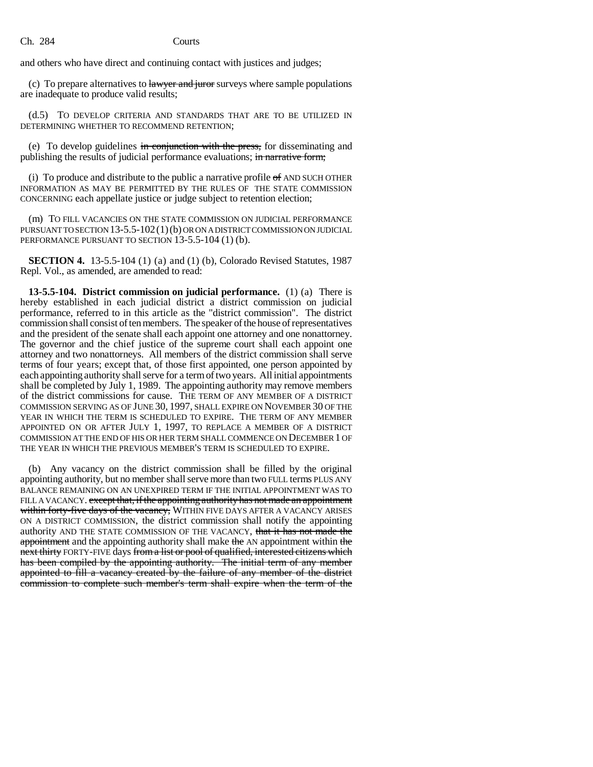and others who have direct and continuing contact with justices and judges;

(c) To prepare alternatives to *lawyer and juror* surveys where sample populations are inadequate to produce valid results;

(d.5) TO DEVELOP CRITERIA AND STANDARDS THAT ARE TO BE UTILIZED IN DETERMINING WHETHER TO RECOMMEND RETENTION;

(e) To develop guidelines in conjunction with the press, for disseminating and publishing the results of judicial performance evaluations; in narrative form;

(i) To produce and distribute to the public a narrative profile  $\sigma$  and such other INFORMATION AS MAY BE PERMITTED BY THE RULES OF THE STATE COMMISSION CONCERNING each appellate justice or judge subject to retention election;

(m) TO FILL VACANCIES ON THE STATE COMMISSION ON JUDICIAL PERFORMANCE PURSUANT TO SECTION  $13-5.5-102(1)$  (b) OR ON A DISTRICT COMMISSION ON JUDICIAL PERFORMANCE PURSUANT TO SECTION 13-5.5-104 (1) (b).

**SECTION 4.** 13-5.5-104 (1) (a) and (1) (b), Colorado Revised Statutes, 1987 Repl. Vol., as amended, are amended to read:

**13-5.5-104. District commission on judicial performance.** (1) (a) There is hereby established in each judicial district a district commission on judicial performance, referred to in this article as the "district commission". The district commission shall consist of ten members. The speaker of the house of representatives and the president of the senate shall each appoint one attorney and one nonattorney. The governor and the chief justice of the supreme court shall each appoint one attorney and two nonattorneys. All members of the district commission shall serve terms of four years; except that, of those first appointed, one person appointed by each appointing authority shall serve for a term of two years. All initial appointments shall be completed by July 1, 1989. The appointing authority may remove members of the district commissions for cause. THE TERM OF ANY MEMBER OF A DISTRICT COMMISSION SERVING AS OF JUNE 30, 1997, SHALL EXPIRE ON NOVEMBER 30 OF THE YEAR IN WHICH THE TERM IS SCHEDULED TO EXPIRE. THE TERM OF ANY MEMBER APPOINTED ON OR AFTER JULY 1, 1997, TO REPLACE A MEMBER OF A DISTRICT COMMISSION AT THE END OF HIS OR HER TERM SHALL COMMENCE ON DECEMBER 1 OF THE YEAR IN WHICH THE PREVIOUS MEMBER'S TERM IS SCHEDULED TO EXPIRE.

(b) Any vacancy on the district commission shall be filled by the original appointing authority, but no member shall serve more than two FULL terms PLUS ANY BALANCE REMAINING ON AN UNEXPIRED TERM IF THE INITIAL APPOINTMENT WAS TO FILL A VACANCY. except that, if the appointing authority has not made an appointment within forty-five days of the vacancy, WITHIN FIVE DAYS AFTER A VACANCY ARISES ON A DISTRICT COMMISSION, the district commission shall notify the appointing authority AND THE STATE COMMISSION OF THE VACANCY, that it has not made the appointment and the appointing authority shall make the AN appointment within the next thirty FORTY-FIVE days from a list or pool of qualified, interested citizens which has been compiled by the appointing authority. The initial term of any member appointed to fill a vacancy created by the failure of any member of the district commission to complete such member's term shall expire when the term of the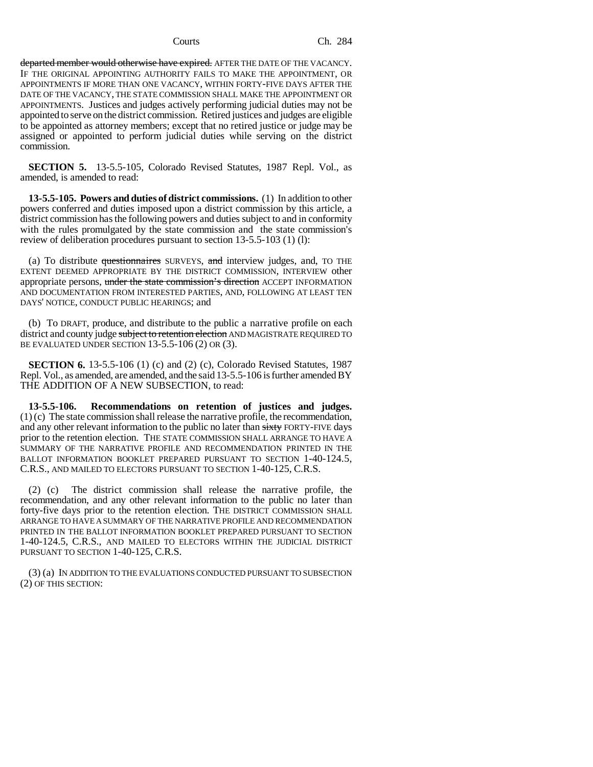departed member would otherwise have expired. AFTER THE DATE OF THE VACANCY. IF THE ORIGINAL APPOINTING AUTHORITY FAILS TO MAKE THE APPOINTMENT, OR APPOINTMENTS IF MORE THAN ONE VACANCY, WITHIN FORTY-FIVE DAYS AFTER THE DATE OF THE VACANCY, THE STATE COMMISSION SHALL MAKE THE APPOINTMENT OR APPOINTMENTS. Justices and judges actively performing judicial duties may not be appointed to serve on the district commission. Retired justices and judges are eligible to be appointed as attorney members; except that no retired justice or judge may be assigned or appointed to perform judicial duties while serving on the district commission.

**SECTION 5.** 13-5.5-105, Colorado Revised Statutes, 1987 Repl. Vol., as amended, is amended to read:

**13-5.5-105. Powers and duties of district commissions.** (1) In addition to other powers conferred and duties imposed upon a district commission by this article, a district commission has the following powers and duties subject to and in conformity with the rules promulgated by the state commission and the state commission's review of deliberation procedures pursuant to section 13-5.5-103 (1) (l):

(a) To distribute questionnaires SURVEYS, and interview judges, and, TO THE EXTENT DEEMED APPROPRIATE BY THE DISTRICT COMMISSION, INTERVIEW other appropriate persons, under the state commission's direction ACCEPT INFORMATION AND DOCUMENTATION FROM INTERESTED PARTIES, AND, FOLLOWING AT LEAST TEN DAYS' NOTICE, CONDUCT PUBLIC HEARINGS; and

(b) To DRAFT, produce, and distribute to the public a narrative profile on each district and county judge subject to retention election AND MAGISTRATE REQUIRED TO BE EVALUATED UNDER SECTION  $13-5.5-106(2)$  OR  $(3)$ .

**SECTION 6.** 13-5.5-106 (1) (c) and (2) (c), Colorado Revised Statutes, 1987 Repl. Vol., as amended, are amended, and the said 13-5.5-106 is further amended BY THE ADDITION OF A NEW SUBSECTION, to read:

**13-5.5-106. Recommendations on retention of justices and judges.** (1) (c) The state commission shall release the narrative profile, the recommendation, and any other relevant information to the public no later than sixty FORTY-FIVE days prior to the retention election. THE STATE COMMISSION SHALL ARRANGE TO HAVE A SUMMARY OF THE NARRATIVE PROFILE AND RECOMMENDATION PRINTED IN THE BALLOT INFORMATION BOOKLET PREPARED PURSUANT TO SECTION 1-40-124.5, C.R.S., AND MAILED TO ELECTORS PURSUANT TO SECTION 1-40-125, C.R.S.

(2) (c) The district commission shall release the narrative profile, the recommendation, and any other relevant information to the public no later than forty-five days prior to the retention election. THE DISTRICT COMMISSION SHALL ARRANGE TO HAVE A SUMMARY OF THE NARRATIVE PROFILE AND RECOMMENDATION PRINTED IN THE BALLOT INFORMATION BOOKLET PREPARED PURSUANT TO SECTION 1-40-124.5, C.R.S., AND MAILED TO ELECTORS WITHIN THE JUDICIAL DISTRICT PURSUANT TO SECTION 1-40-125, C.R.S.

(3) (a) IN ADDITION TO THE EVALUATIONS CONDUCTED PURSUANT TO SUBSECTION (2) OF THIS SECTION: